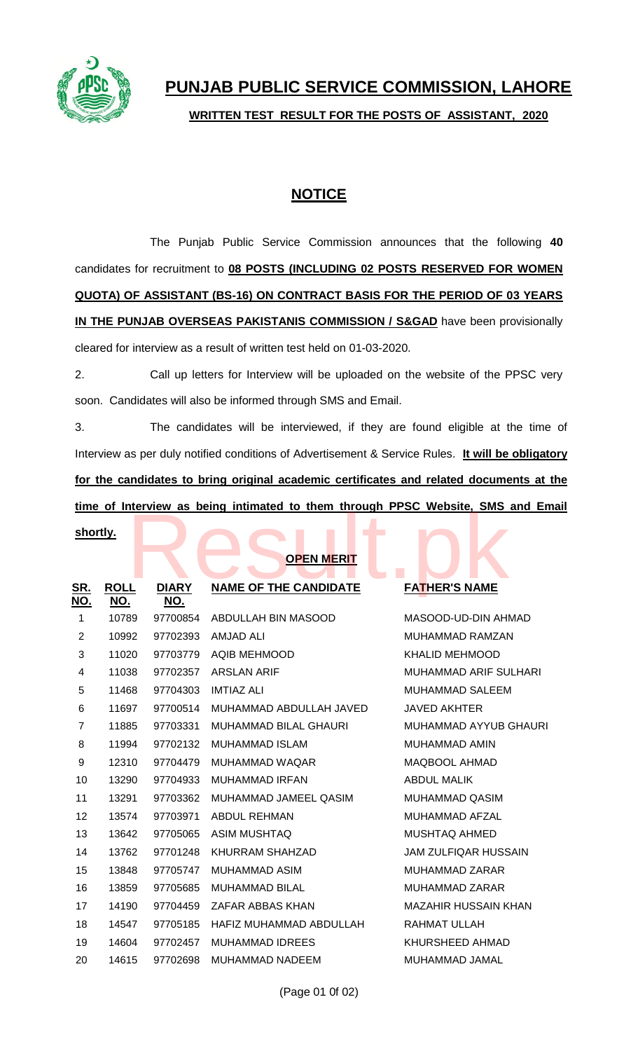

**WRITTEN TEST RESULT FOR THE POSTS OF ASSISTANT, 2020**

## **NOTICE**

The Punjab Public Service Commission announces that the following **40** candidates for recruitment to **08 POSTS (INCLUDING 02 POSTS RESERVED FOR WOMEN QUOTA) OF ASSISTANT (BS-16) ON CONTRACT BASIS FOR THE PERIOD OF 03 YEARS IN THE PUNJAB OVERSEAS PAKISTANIS COMMISSION / S&GAD** have been provisionally cleared for interview as a result of written test held on 01-03-2020.

2. Call up letters for Interview will be uploaded on the website of the PPSC very soon. Candidates will also be informed through SMS and Email.

3. The candidates will be interviewed, if they are found eligible at the time of Interview as per duly notified conditions of Advertisement & Service Rules. **It will be obligatory for the candidates to bring original academic certificates and related documents at the time of Interview as being intimated to them through PPSC Website, SMS and Email** 

## **shortly.**

## **OPEN MERIT**

| <u>time of interview as being intimated to them through PPSC website, SMS and En</u> |                           |                            |                              |                             |  |  |  |
|--------------------------------------------------------------------------------------|---------------------------|----------------------------|------------------------------|-----------------------------|--|--|--|
| shortly.<br><b>OPEN MERIT</b>                                                        |                           |                            |                              |                             |  |  |  |
| <u>SR.</u><br><u>NO.</u>                                                             | <b>ROLL</b><br><u>NO.</u> | <b>DIARY</b><br><u>NO.</u> | <b>NAME OF THE CANDIDATE</b> | <b>FATHER'S NAME</b>        |  |  |  |
| 1                                                                                    | 10789                     | 97700854                   | <b>ABDULLAH BIN MASOOD</b>   | MASOOD-UD-DIN AHMAD         |  |  |  |
| $\overline{2}$                                                                       | 10992                     | 97702393                   | <b>AMJAD ALI</b>             | MUHAMMAD RAMZAN             |  |  |  |
| 3                                                                                    | 11020                     | 97703779                   | <b>AQIB MEHMOOD</b>          | <b>KHALID MEHMOOD</b>       |  |  |  |
| 4                                                                                    | 11038                     | 97702357                   | <b>ARSLAN ARIF</b>           | MUHAMMAD ARIF SULHARI       |  |  |  |
| 5                                                                                    | 11468                     | 97704303                   | <b>IMTIAZ ALI</b>            | <b>MUHAMMAD SALEEM</b>      |  |  |  |
| 6                                                                                    | 11697                     | 97700514                   | MUHAMMAD ABDULLAH JAVED      | <b>JAVED AKHTER</b>         |  |  |  |
| 7                                                                                    | 11885                     | 97703331                   | MUHAMMAD BILAL GHAURI        | MUHAMMAD AYYUB GHAURI       |  |  |  |
| 8                                                                                    | 11994                     | 97702132                   | <b>MUHAMMAD ISLAM</b>        | <b>MUHAMMAD AMIN</b>        |  |  |  |
| 9                                                                                    | 12310                     | 97704479                   | MUHAMMAD WAQAR               | <b>MAQBOOL AHMAD</b>        |  |  |  |
| 10                                                                                   | 13290                     | 97704933                   | <b>MUHAMMAD IRFAN</b>        | <b>ABDUL MALIK</b>          |  |  |  |
| 11                                                                                   | 13291                     | 97703362                   | MUHAMMAD JAMEEL QASIM        | <b>MUHAMMAD QASIM</b>       |  |  |  |
| 12                                                                                   | 13574                     | 97703971                   | <b>ABDUL REHMAN</b>          | MUHAMMAD AFZAL              |  |  |  |
| 13                                                                                   | 13642                     | 97705065                   | <b>ASIM MUSHTAQ</b>          | <b>MUSHTAQ AHMED</b>        |  |  |  |
| 14                                                                                   | 13762                     | 97701248                   | <b>KHURRAM SHAHZAD</b>       | <b>JAM ZULFIQAR HUSSAIN</b> |  |  |  |
| 15                                                                                   | 13848                     | 97705747                   | <b>MUHAMMAD ASIM</b>         | <b>MUHAMMAD ZARAR</b>       |  |  |  |
| 16                                                                                   | 13859                     | 97705685                   | <b>MUHAMMAD BILAL</b>        | <b>MUHAMMAD ZARAR</b>       |  |  |  |
| 17                                                                                   | 14190                     | 97704459                   | ZAFAR ABBAS KHAN             | <b>MAZAHIR HUSSAIN KHAN</b> |  |  |  |
| 18                                                                                   | 14547                     | 97705185                   | HAFIZ MUHAMMAD ABDULLAH      | <b>RAHMAT ULLAH</b>         |  |  |  |
| 19                                                                                   | 14604                     | 97702457                   | <b>MUHAMMAD IDREES</b>       | KHURSHEED AHMAD             |  |  |  |
| 20                                                                                   | 14615                     | 97702698                   | <b>MUHAMMAD NADEEM</b>       | MUHAMMAD JAMAL              |  |  |  |
|                                                                                      |                           |                            |                              |                             |  |  |  |